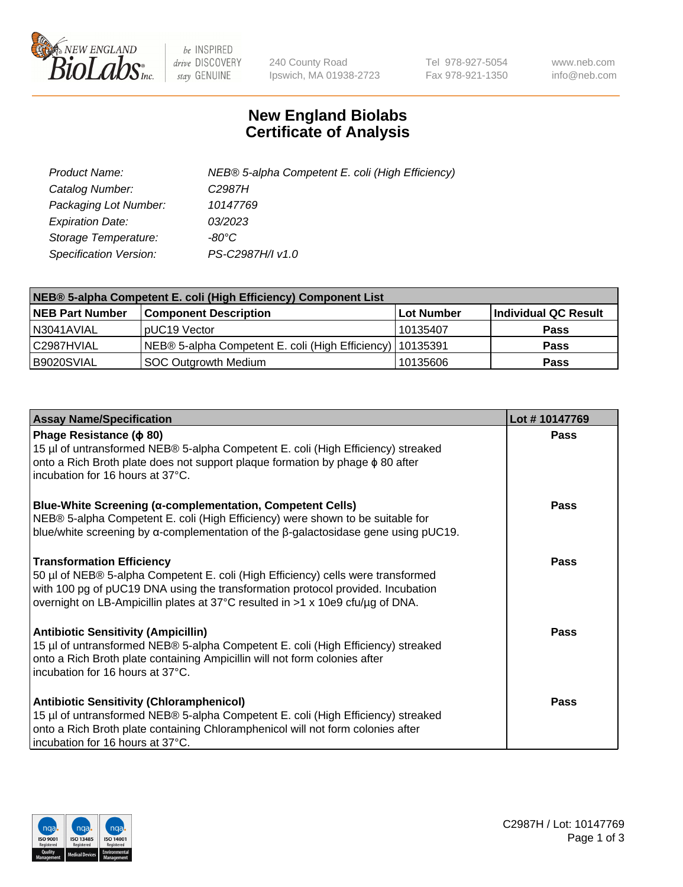

 $be$  INSPIRED drive DISCOVERY stay GENUINE

240 County Road Ipswich, MA 01938-2723 Tel 978-927-5054 Fax 978-921-1350 www.neb.com info@neb.com

## **New England Biolabs Certificate of Analysis**

| Product Name:           | NEB® 5-alpha Competent E. coli (High Efficiency) |
|-------------------------|--------------------------------------------------|
| Catalog Number:         | C <sub>2987</sub> H                              |
| Packaging Lot Number:   | 10147769                                         |
| <b>Expiration Date:</b> | 03/2023                                          |
| Storage Temperature:    | -80°C.                                           |
| Specification Version:  | PS-C2987H/I v1.0                                 |

| NEB® 5-alpha Competent E. coli (High Efficiency) Component List |                                                             |                   |                      |  |
|-----------------------------------------------------------------|-------------------------------------------------------------|-------------------|----------------------|--|
| <b>NEB Part Number</b>                                          | <b>Component Description</b>                                | <b>Lot Number</b> | Individual QC Result |  |
| N3041AVIAL                                                      | pUC19 Vector                                                | 10135407          | <b>Pass</b>          |  |
| C2987HVIAL                                                      | NEB® 5-alpha Competent E. coli (High Efficiency)   10135391 |                   | <b>Pass</b>          |  |
| B9020SVIAL                                                      | SOC Outgrowth Medium                                        | 10135606          | <b>Pass</b>          |  |

| <b>Assay Name/Specification</b>                                                                                                                                                                                                                                                           | Lot #10147769 |
|-------------------------------------------------------------------------------------------------------------------------------------------------------------------------------------------------------------------------------------------------------------------------------------------|---------------|
| Phage Resistance ( $\phi$ 80)<br>15 µl of untransformed NEB® 5-alpha Competent E. coli (High Efficiency) streaked<br>onto a Rich Broth plate does not support plaque formation by phage φ 80 after<br>incubation for 16 hours at 37°C.                                                    | Pass          |
| <b>Blue-White Screening (α-complementation, Competent Cells)</b><br>NEB® 5-alpha Competent E. coli (High Efficiency) were shown to be suitable for<br>blue/white screening by $\alpha$ -complementation of the $\beta$ -galactosidase gene using pUC19.                                   | Pass          |
| <b>Transformation Efficiency</b><br>50 µl of NEB® 5-alpha Competent E. coli (High Efficiency) cells were transformed<br>with 100 pg of pUC19 DNA using the transformation protocol provided. Incubation<br>overnight on LB-Ampicillin plates at 37°C resulted in >1 x 10e9 cfu/µg of DNA. | Pass          |
| <b>Antibiotic Sensitivity (Ampicillin)</b><br>15 µl of untransformed NEB® 5-alpha Competent E. coli (High Efficiency) streaked<br>onto a Rich Broth plate containing Ampicillin will not form colonies after<br>incubation for 16 hours at 37°C.                                          | Pass          |
| <b>Antibiotic Sensitivity (Chloramphenicol)</b><br>15 µl of untransformed NEB® 5-alpha Competent E. coli (High Efficiency) streaked<br>onto a Rich Broth plate containing Chloramphenicol will not form colonies after<br>incubation for 16 hours at 37°C.                                | Pass          |

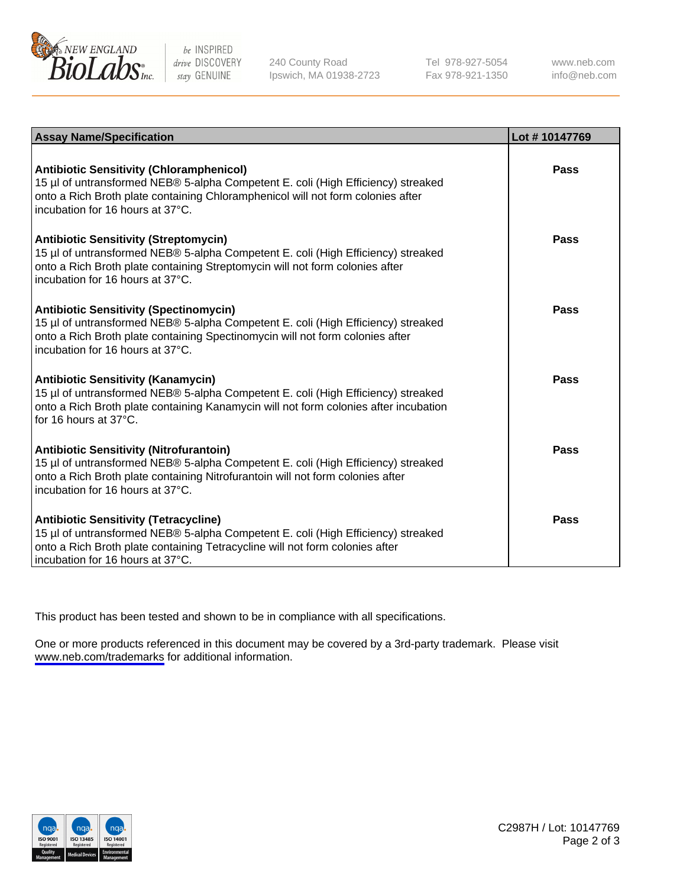

be INSPIRED drive DISCOVERY stay GENUINE

240 County Road Ipswich, MA 01938-2723 Tel 978-927-5054 Fax 978-921-1350

www.neb.com info@neb.com

| <b>Assay Name/Specification</b>                                                                                                                                                                                                                            | Lot #10147769 |
|------------------------------------------------------------------------------------------------------------------------------------------------------------------------------------------------------------------------------------------------------------|---------------|
| <b>Antibiotic Sensitivity (Chloramphenicol)</b><br>15 µl of untransformed NEB® 5-alpha Competent E. coli (High Efficiency) streaked<br>onto a Rich Broth plate containing Chloramphenicol will not form colonies after<br>incubation for 16 hours at 37°C. | Pass          |
| <b>Antibiotic Sensitivity (Streptomycin)</b><br>15 µl of untransformed NEB® 5-alpha Competent E. coli (High Efficiency) streaked<br>onto a Rich Broth plate containing Streptomycin will not form colonies after<br>incubation for 16 hours at 37°C.       | Pass          |
| <b>Antibiotic Sensitivity (Spectinomycin)</b><br>15 µl of untransformed NEB® 5-alpha Competent E. coli (High Efficiency) streaked<br>onto a Rich Broth plate containing Spectinomycin will not form colonies after<br>incubation for 16 hours at 37°C.     | Pass          |
| <b>Antibiotic Sensitivity (Kanamycin)</b><br>15 µl of untransformed NEB® 5-alpha Competent E. coli (High Efficiency) streaked<br>onto a Rich Broth plate containing Kanamycin will not form colonies after incubation<br>for 16 hours at 37°C.             | <b>Pass</b>   |
| <b>Antibiotic Sensitivity (Nitrofurantoin)</b><br>15 µl of untransformed NEB® 5-alpha Competent E. coli (High Efficiency) streaked<br>onto a Rich Broth plate containing Nitrofurantoin will not form colonies after<br>incubation for 16 hours at 37°C.   | Pass          |
| <b>Antibiotic Sensitivity (Tetracycline)</b><br>15 µl of untransformed NEB® 5-alpha Competent E. coli (High Efficiency) streaked<br>onto a Rich Broth plate containing Tetracycline will not form colonies after<br>incubation for 16 hours at 37°C.       | Pass          |

This product has been tested and shown to be in compliance with all specifications.

One or more products referenced in this document may be covered by a 3rd-party trademark. Please visit <www.neb.com/trademarks>for additional information.